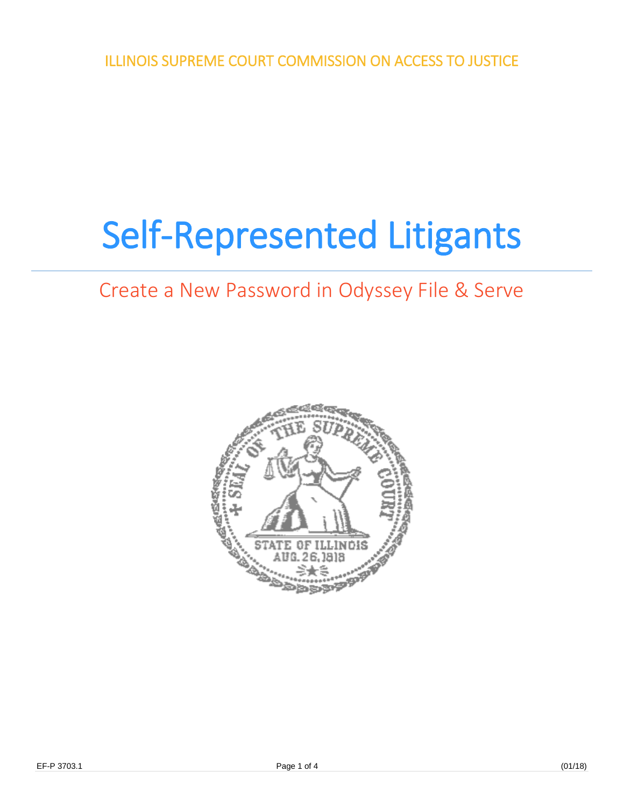ILLINOIS SUPREME COURT COMMISSION ON ACCESS TO JUSTICE

## Self-Represented Litigants

## Create a New Password in Odyssey File & Serve

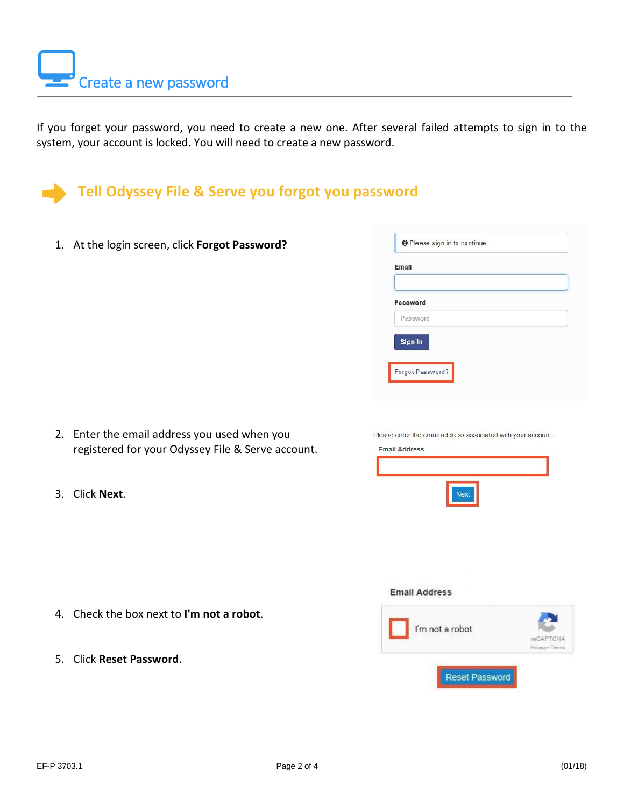If you forget your password, you need to create a new one. After several failed attempts to sign in to the system, your account is locked. You will need to create a new password.



1. At the login screen, click **Forgot Password?**

| Password | Email    |  |
|----------|----------|--|
|          | Password |  |
|          |          |  |

- 2. Enter the email address you used when you registered for your Odyssey File & Serve account.
- 3. Click **Next**.

|  |  | Please enter the email address associated with your account. |  |  |
|--|--|--------------------------------------------------------------|--|--|
|  |  |                                                              |  |  |



- 4. Check the box next to **I'm not a robot**.
- 5. Click **Reset Password**.

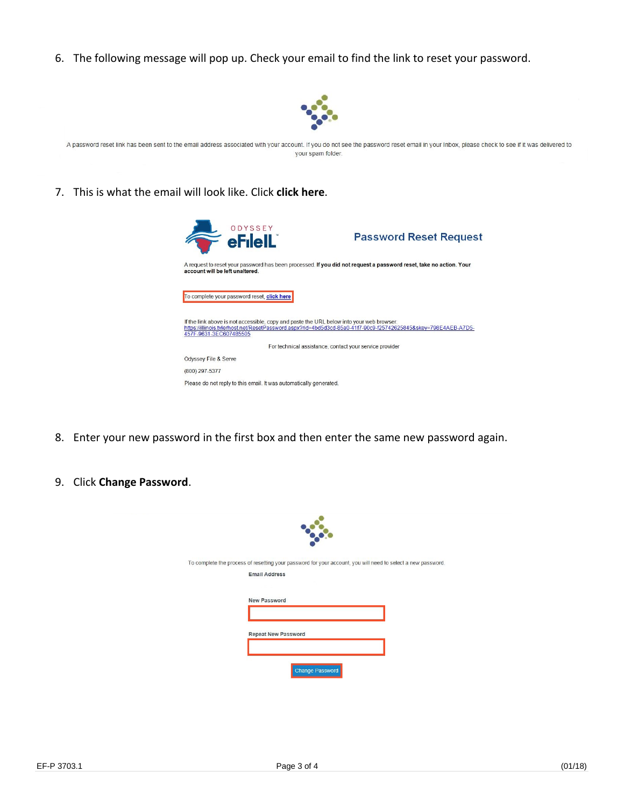6. The following message will pop up. Check your email to find the link to reset your password.



A password reset link has been sent to the email address associated with your account. If you do not see the password reset email in your Inbox, please check to see if it was delivered to your spam folder.

7. This is what the email will look like. Click **click here**.



- 8. Enter your new password in the first box and then enter the same new password again.
- 9. Click **Change Password**.

| To complete the process of resetting your password for your account, you will need to select a new password.<br><b>Email Address</b> |
|--------------------------------------------------------------------------------------------------------------------------------------|
| <b>New Password</b>                                                                                                                  |
| <b>Repeat New Password</b>                                                                                                           |
|                                                                                                                                      |
| <b>Change Password</b>                                                                                                               |